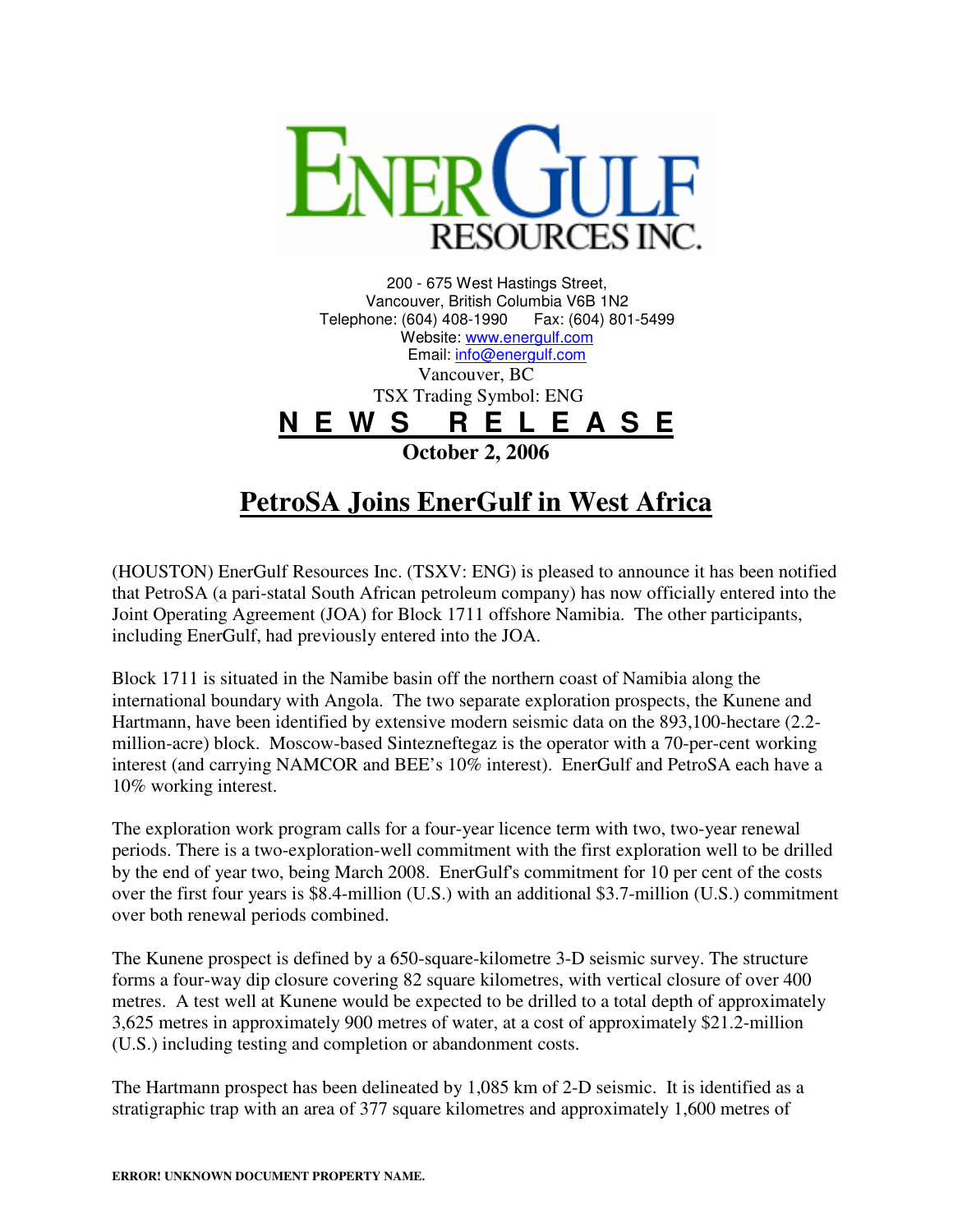

200 - 675 West Hastings Street, Vancouver, British Columbia V6B 1N2 Telephone: (604) 408-1990 Fax: (604) 801-5499 Website: www.energulf.com Email: info@energulf.com Vancouver, BC TSX Trading Symbol: ENG **N E W S R E L E A S E October 2, 2006** 

## **PetroSA Joins EnerGulf in West Africa**

(HOUSTON) EnerGulf Resources Inc. (TSXV: ENG) is pleased to announce it has been notified that PetroSA (a pari-statal South African petroleum company) has now officially entered into the Joint Operating Agreement (JOA) for Block 1711 offshore Namibia. The other participants, including EnerGulf, had previously entered into the JOA.

Block 1711 is situated in the Namibe basin off the northern coast of Namibia along the international boundary with Angola. The two separate exploration prospects, the Kunene and Hartmann, have been identified by extensive modern seismic data on the 893,100-hectare (2.2 million-acre) block. Moscow-based Sintezneftegaz is the operator with a 70-per-cent working interest (and carrying NAMCOR and BEE's 10% interest). EnerGulf and PetroSA each have a 10% working interest.

The exploration work program calls for a four-year licence term with two, two-year renewal periods. There is a two-exploration-well commitment with the first exploration well to be drilled by the end of year two, being March 2008. EnerGulf's commitment for 10 per cent of the costs over the first four years is \$8.4-million (U.S.) with an additional \$3.7-million (U.S.) commitment over both renewal periods combined.

The Kunene prospect is defined by a 650-square-kilometre 3-D seismic survey. The structure forms a four-way dip closure covering 82 square kilometres, with vertical closure of over 400 metres. A test well at Kunene would be expected to be drilled to a total depth of approximately 3,625 metres in approximately 900 metres of water, at a cost of approximately \$21.2-million (U.S.) including testing and completion or abandonment costs.

The Hartmann prospect has been delineated by 1,085 km of 2-D seismic. It is identified as a stratigraphic trap with an area of 377 square kilometres and approximately 1,600 metres of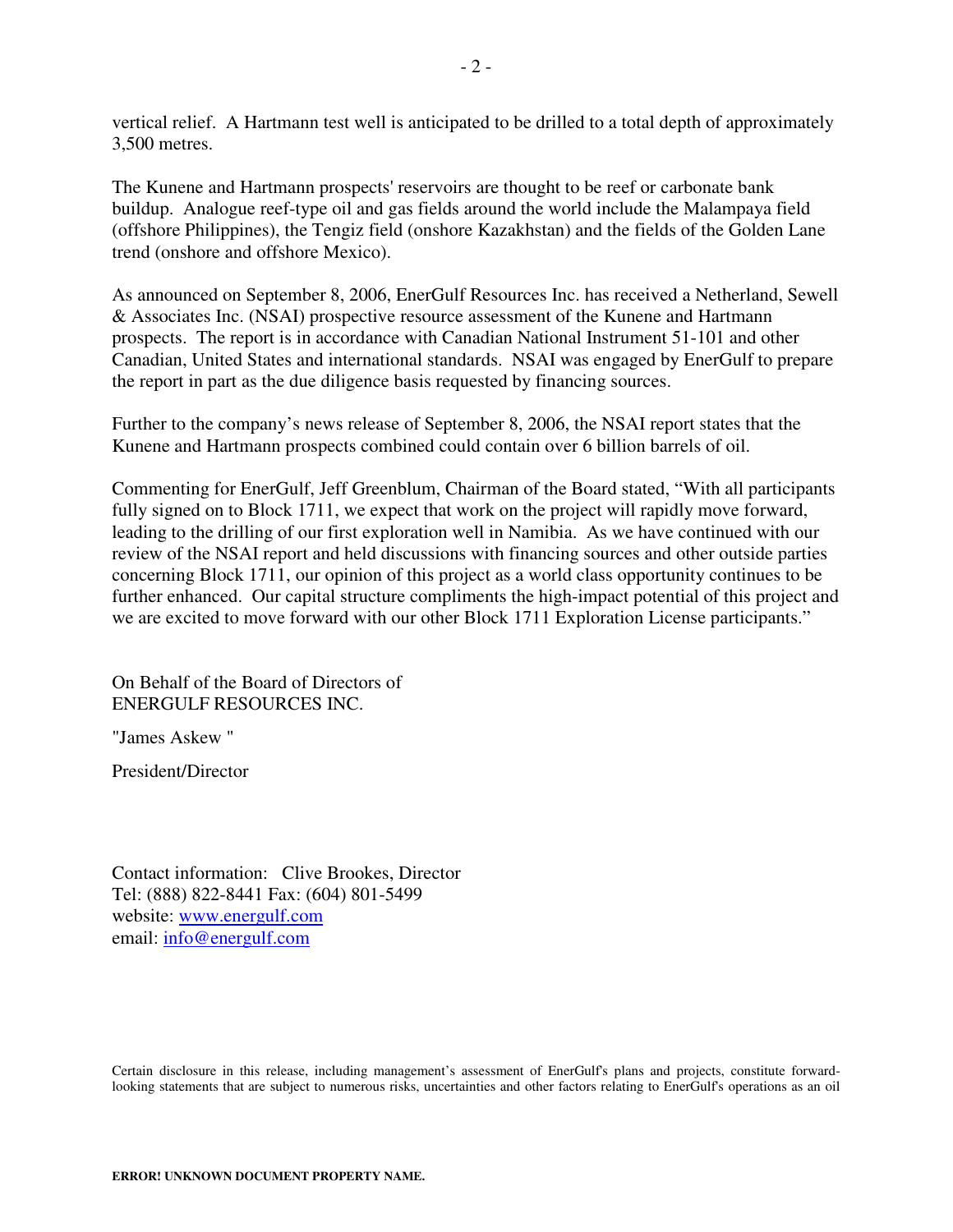vertical relief. A Hartmann test well is anticipated to be drilled to a total depth of approximately 3,500 metres.

The Kunene and Hartmann prospects' reservoirs are thought to be reef or carbonate bank buildup. Analogue reef-type oil and gas fields around the world include the Malampaya field (offshore Philippines), the Tengiz field (onshore Kazakhstan) and the fields of the Golden Lane trend (onshore and offshore Mexico).

As announced on September 8, 2006, EnerGulf Resources Inc. has received a Netherland, Sewell & Associates Inc. (NSAI) prospective resource assessment of the Kunene and Hartmann prospects. The report is in accordance with Canadian National Instrument 51-101 and other Canadian, United States and international standards. NSAI was engaged by EnerGulf to prepare the report in part as the due diligence basis requested by financing sources.

Further to the company's news release of September 8, 2006, the NSAI report states that the Kunene and Hartmann prospects combined could contain over 6 billion barrels of oil.

Commenting for EnerGulf, Jeff Greenblum, Chairman of the Board stated, "With all participants fully signed on to Block 1711, we expect that work on the project will rapidly move forward, leading to the drilling of our first exploration well in Namibia. As we have continued with our review of the NSAI report and held discussions with financing sources and other outside parties concerning Block 1711, our opinion of this project as a world class opportunity continues to be further enhanced. Our capital structure compliments the high-impact potential of this project and we are excited to move forward with our other Block 1711 Exploration License participants."

On Behalf of the Board of Directors of ENERGULF RESOURCES INC.

"James Askew "

President/Director

Contact information: Clive Brookes, Director Tel: (888) 822-8441 Fax: (604) 801-5499 website: www.energulf.com email: info@energulf.com

Certain disclosure in this release, including management's assessment of EnerGulf's plans and projects, constitute forwardlooking statements that are subject to numerous risks, uncertainties and other factors relating to EnerGulf's operations as an oil